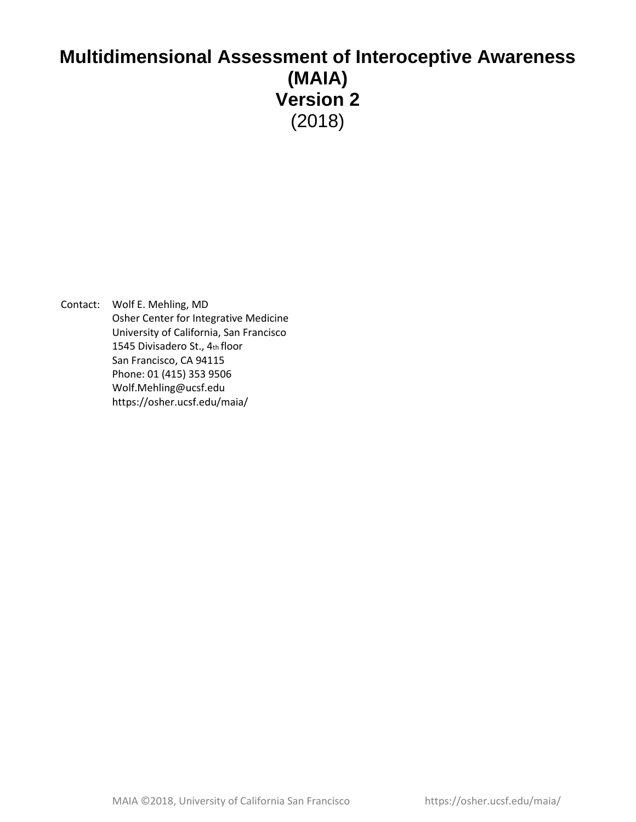# **Multidimensional Assessment of Interoceptive Awareness (MAIA) Version 2**  (2018)

Contact: Wolf E. Mehling, MD Osher Center for Integrative Medicine University of California, San Francisco 1545 Divisadero St., 4th floor San Francisco, CA 94115 Phone: 01 (415) 353 9506 Wolf.Mehling@ucsf.edu https://osher.ucsf.edu/maia/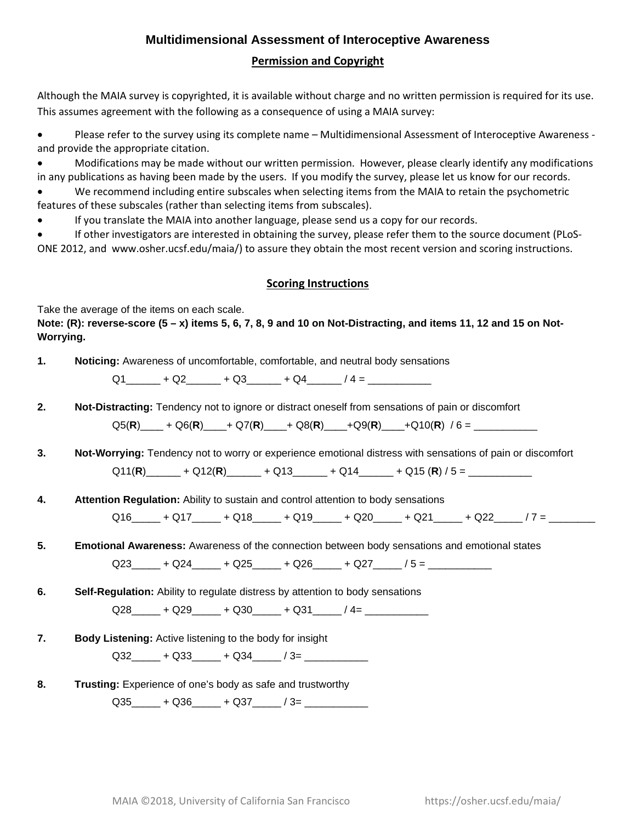### **Multidimensional Assessment of Interoceptive Awareness**

#### **Permission and Copyright**

Although the MAIA survey is copyrighted, it is available without charge and no written permission is required for its use. This assumes agreement with the following as a consequence of using a MAIA survey:

• Please refer to the survey using its complete name – Multidimensional Assessment of Interoceptive Awareness and provide the appropriate citation.

• Modifications may be made without our written permission. However, please clearly identify any modifications in any publications as having been made by the users. If you modify the survey, please let us know for our records.

• We recommend including entire subscales when selecting items from the MAIA to retain the psychometric features of these subscales (rather than selecting items from subscales).

• If you translate the MAIA into another language, please send us a copy for our records.

• If other investigators are interested in obtaining the survey, please refer them to the source document (PLoS-

ONE 2012, and www.osher.ucsf.edu/maia/) to assure they obtain the most recent version and scoring instructions.

#### **Scoring Instructions**

Take the average of the items on each scale.

**Note: (R): reverse-score (5 – x) items 5, 6, 7, 8, 9 and 10 on Not-Distracting, and items 11, 12 and 15 on Not-Worrying.** 

**1. Noticing:** Awareness of uncomfortable, comfortable, and neutral body sensations

 $Q1$   $+$   $Q2$   $+$   $Q3$   $+$   $Q4$   $+$   $Q4$   $+$   $Z$   $+$   $Z$   $+$   $Q4$   $+$   $Z$   $+$   $Z$   $+$   $Q4$   $+$   $Z$   $+$   $Z$   $+$   $Q4$   $+$   $Z$   $+$   $Z$   $+$   $Q4$   $+$   $Z$   $+$   $Z$   $+$   $Q4$   $+$   $Z$   $+$   $Z$   $+$   $Z$   $+$   $Z$   $+$   $Q4$   $+$   $Z$   $+$   $Z$ 

**2. Not-Distracting:** Tendency not to ignore or distract oneself from sensations of pain or discomfort

Q5(**R**)\_\_\_\_ + Q6(**R**)\_\_\_\_+ Q7(**R**)\_\_\_\_+ Q8(**R**)\_\_\_\_+Q9(**R**)\_\_\_\_+Q10(**R**) / 6 = \_\_\_\_\_\_\_\_\_\_\_

**3. Not-Worrying:** Tendency not to worry or experience emotional distress with sensations of pain or discomfort Q11(**R**)\_\_\_\_\_\_ + Q12(**R**)\_\_\_\_\_\_ + Q13\_\_\_\_\_\_ + Q14\_\_\_\_\_\_ + Q15 (**R**) / 5 = \_\_\_\_\_\_\_\_\_\_\_

**4. Attention Regulation:** Ability to sustain and control attention to body sensations

 $Q16$  +  $Q17$  +  $Q18$  +  $Q19$  +  $Q20$  +  $Q21$  +  $Q22$  /  $7$  =

**5. Emotional Awareness:** Awareness of the connection between body sensations and emotional states

 $Q23$  +  $Q24$  +  $Q25$  +  $Q26$  +  $Q27$  /  $5 =$ 

**6. Self-Regulation:** Ability to regulate distress by attention to body sensations

 $Q28$   $+ Q29$   $+ Q30$   $+ Q31$   $+ Q31$ 

**7. Body Listening:** Active listening to the body for insight

Q32  $+$  Q33  $+$  Q34  $-$  / 3=

**8. Trusting:** Experience of one's body as safe and trustworthy

 $Q35$   $+ Q36$   $+ Q37$   $/ 3=$   $-$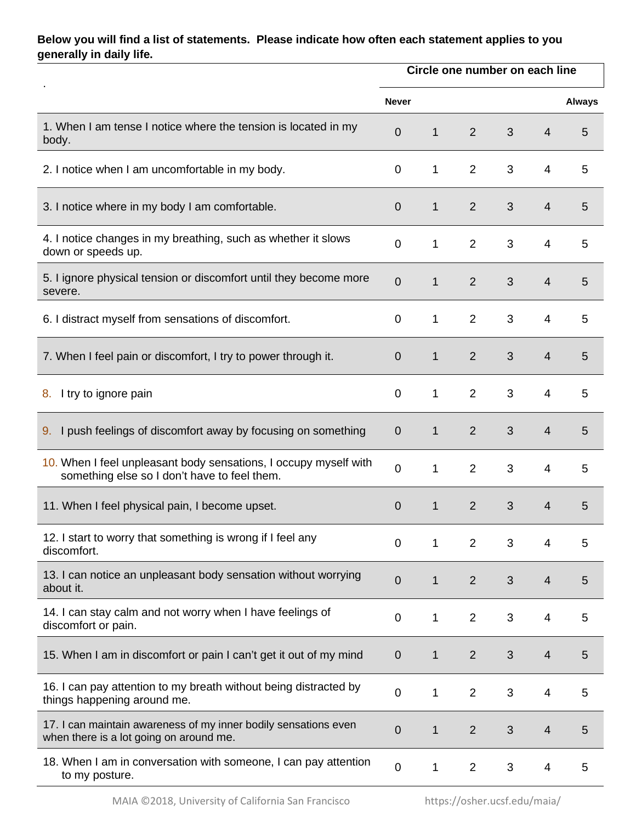## **Below you will find a list of statements. Please indicate how often each statement applies to you generally in daily life.**

|                                                                                                                  |                  | Circle one number on each line |                |   |                |               |  |  |
|------------------------------------------------------------------------------------------------------------------|------------------|--------------------------------|----------------|---|----------------|---------------|--|--|
|                                                                                                                  | <b>Never</b>     |                                |                |   |                | <b>Always</b> |  |  |
| 1. When I am tense I notice where the tension is located in my<br>body.                                          | $\mathbf 0$      | $\mathbf{1}$                   | $\overline{2}$ | 3 | $\overline{4}$ | 5             |  |  |
| 2. I notice when I am uncomfortable in my body.                                                                  | $\mathbf 0$      | $\mathbf{1}$                   | $\overline{2}$ | 3 | $\overline{4}$ | 5             |  |  |
| 3. I notice where in my body I am comfortable.                                                                   | $\mathbf 0$      | $\mathbf{1}$                   | $\overline{2}$ | 3 | $\overline{4}$ | 5             |  |  |
| 4. I notice changes in my breathing, such as whether it slows<br>down or speeds up.                              | $\overline{0}$   | 1                              | $\overline{2}$ | 3 | 4              | 5             |  |  |
| 5. I ignore physical tension or discomfort until they become more<br>severe.                                     | $\overline{0}$   | $\mathbf{1}$                   | $\overline{2}$ | 3 | $\overline{4}$ | 5             |  |  |
| 6. I distract myself from sensations of discomfort.                                                              | $\overline{0}$   | $\mathbf{1}$                   | $\overline{2}$ | 3 | 4              | 5             |  |  |
| 7. When I feel pain or discomfort, I try to power through it.                                                    | $\overline{0}$   | $\mathbf{1}$                   | $\overline{2}$ | 3 | $\overline{4}$ | 5             |  |  |
| I try to ignore pain<br>8.                                                                                       | $\mathbf 0$      | $\mathbf{1}$                   | $\overline{2}$ | 3 | 4              | 5             |  |  |
| I push feelings of discomfort away by focusing on something<br>9.                                                | $\overline{0}$   | $\mathbf{1}$                   | $\overline{2}$ | 3 | 4              | 5             |  |  |
| 10. When I feel unpleasant body sensations, I occupy myself with<br>something else so I don't have to feel them. | $\overline{0}$   | $\mathbf{1}$                   | $\overline{2}$ | 3 | $\overline{4}$ | 5             |  |  |
| 11. When I feel physical pain, I become upset.                                                                   | $\overline{0}$   | $\mathbf{1}$                   | $\overline{2}$ | 3 | 4              | 5             |  |  |
| 12. I start to worry that something is wrong if I feel any<br>discomfort.                                        | $\pmb{0}$        | 1                              | $\overline{2}$ | 3 | 4              | 5             |  |  |
| 13. I can notice an unpleasant body sensation without worrying<br>about it.                                      | $\boldsymbol{0}$ | 1                              | $\overline{2}$ | 3 | $\overline{4}$ | 5             |  |  |
| 14. I can stay calm and not worry when I have feelings of<br>discomfort or pain.                                 | $\pmb{0}$        | 1                              | $\overline{2}$ | 3 | 4              | 5             |  |  |
| 15. When I am in discomfort or pain I can't get it out of my mind                                                | $\overline{0}$   | 1                              | $\overline{2}$ | 3 | $\overline{4}$ | 5             |  |  |
| 16. I can pay attention to my breath without being distracted by<br>things happening around me.                  | $\pmb{0}$        | 1                              | $\overline{2}$ | 3 | 4              | 5             |  |  |
| 17. I can maintain awareness of my inner bodily sensations even<br>when there is a lot going on around me.       | 0                | 1                              | $\overline{2}$ | 3 | $\overline{4}$ | 5             |  |  |
| 18. When I am in conversation with someone, I can pay attention<br>to my posture.                                | $\pmb{0}$        | 1                              | $\overline{2}$ | 3 | 4              | 5             |  |  |